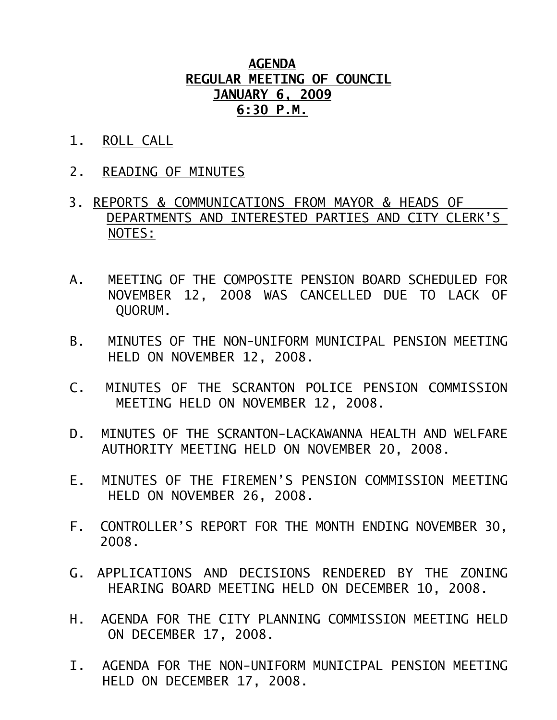## **AGENDA REGULAR MEETING OF COUNCIL JANUARY 6, 2009 6:30 P.M.**

- 1. ROLL CALL
- 2. READING OF MINUTES
- 3. REPORTS & COMMUNICATIONS FROM MAYOR & HEADS OF DEPARTMENTS AND INTERESTED PARTIES AND CITY CLERK'S NOTES:
- A. MEETING OF THE COMPOSITE PENSION BOARD SCHEDULED FOR NOVEMBER 12, 2008 WAS CANCELLED DUE TO LACK OF QUORUM.
- B. MINUTES OF THE NON-UNIFORM MUNICIPAL PENSION MEETING HELD ON NOVEMBER 12, 2008.
- C. MINUTES OF THE SCRANTON POLICE PENSION COMMISSION MEETING HELD ON NOVEMBER 12, 2008.
- D. MINUTES OF THE SCRANTON-LACKAWANNA HEALTH AND WELFARE AUTHORITY MEETING HELD ON NOVEMBER 20, 2008.
- E. MINUTES OF THE FIREMEN'S PENSION COMMISSION MEETING HELD ON NOVEMBER 26, 2008.
- F. CONTROLLER'S REPORT FOR THE MONTH ENDING NOVEMBER 30, 2008.
- G. APPLICATIONS AND DECISIONS RENDERED BY THE ZONING HEARING BOARD MEETING HELD ON DECEMBER 10, 2008.
- H. AGENDA FOR THE CITY PLANNING COMMISSION MEETING HELD ON DECEMBER 17, 2008.
- I. AGENDA FOR THE NON-UNIFORM MUNICIPAL PENSION MEETING HELD ON DECEMBER 17, 2008.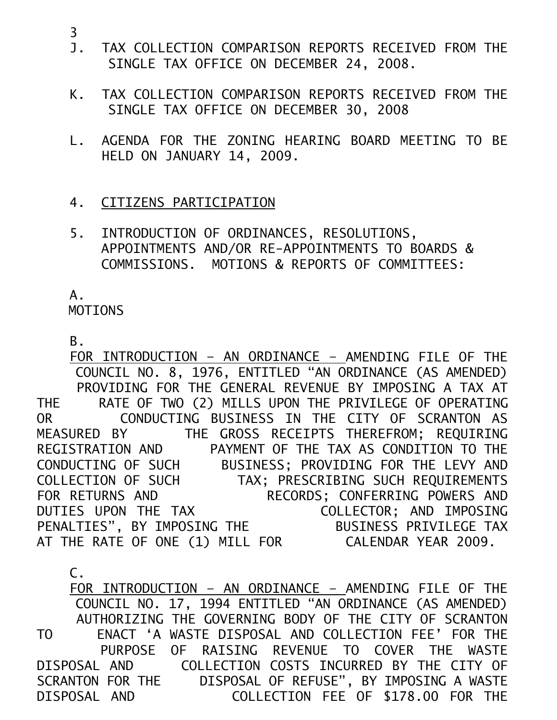- J. TAX COLLECTION COMPARISON REPORTS RECEIVED FROM THE SINGLE TAX OFFICE ON DECEMBER 24, 2008.
- K. TAX COLLECTION COMPARISON REPORTS RECEIVED FROM THE SINGLE TAX OFFICE ON DECEMBER 30, 2008
- L. AGENDA FOR THE ZONING HEARING BOARD MEETING TO BE HELD ON JANUARY 14, 2009.
- 4. CITIZENS PARTICIPATION
- 5. INTRODUCTION OF ORDINANCES, RESOLUTIONS, APPOINTMENTS AND/OR RE-APPOINTMENTS TO BOARDS & COMMISSIONS. MOTIONS & REPORTS OF COMMITTEES:

A.

MOTIONS

 $B<sub>z</sub>$ 

 FOR INTRODUCTION – AN ORDINANCE – AMENDING FILE OF THE COUNCIL NO. 8, 1976, ENTITLED "AN ORDINANCE (AS AMENDED) PROVIDING FOR THE GENERAL REVENUE BY IMPOSING A TAX AT THE RATE OF TWO (2) MILLS UPON THE PRIVILEGE OF OPERATING OR CONDUCTING BUSINESS IN THE CITY OF SCRANTON AS MEASURED BY THE GROSS RECEIPTS THEREFROM; REQUIRING REGISTRATION AND PAYMENT OF THE TAX AS CONDITION TO THE CONDUCTING OF SUCH BUSINESS; PROVIDING FOR THE LEVY AND COLLECTION OF SUCH TAX; PRESCRIBING SUCH REQUIREMENTS FOR RETURNS AND RECORDS; CONFERRING POWERS AND DUTIES UPON THE TAX COLLECTOR; AND IMPOSING PENALTIES", BY IMPOSING THE BUSINESS PRIVILEGE TAX AT THE RATE OF ONE (1) MILL FOR CALENDAR YEAR 2009.

 C. FOR INTRODUCTION – AN ORDINANCE – AMENDING FILE OF THE COUNCIL NO. 17, 1994 ENTITLED "AN ORDINANCE (AS AMENDED) AUTHORIZING THE GOVERNING BODY OF THE CITY OF SCRANTON TO ENACT 'A WASTE DISPOSAL AND COLLECTION FEE' FOR THE PURPOSE OF RAISING REVENUE TO COVER THE WASTE DISPOSAL AND COLLECTION COSTS INCURRED BY THE CITY OF SCRANTON FOR THE DISPOSAL OF REFUSE", BY IMPOSING A WASTE DISPOSAL AND COLLECTION FEE OF \$178.00 FOR THE

3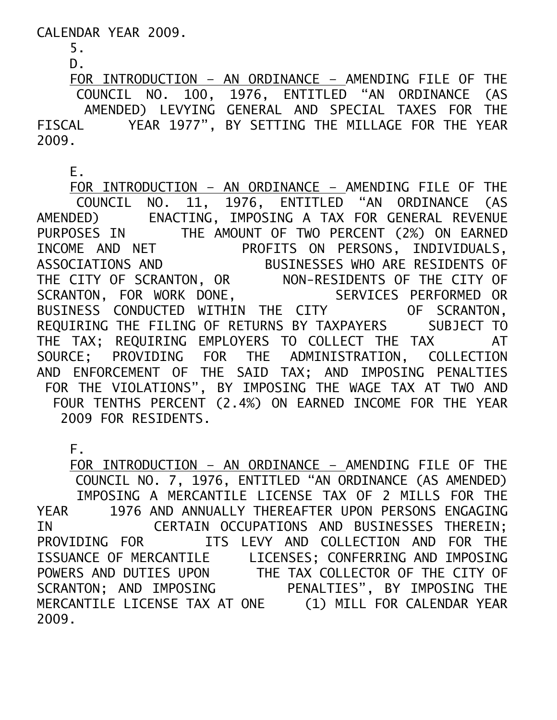CALENDAR YEAR 2009.

 5. D.

 FOR INTRODUCTION – AN ORDINANCE – AMENDING FILE OF THE COUNCIL NO. 100, 1976, ENTITLED "AN ORDINANCE (AS AMENDED) LEVYING GENERAL AND SPECIAL TAXES FOR THE FISCAL YEAR 1977", BY SETTING THE MILLAGE FOR THE YEAR 2009.

E.

 FOR INTRODUCTION – AN ORDINANCE – AMENDING FILE OF THE COUNCIL NO. 11, 1976, ENTITLED "AN ORDINANCE (AS AMENDED) ENACTING, IMPOSING A TAX FOR GENERAL REVENUE PURPOSES IN THE AMOUNT OF TWO PERCENT (2%) ON EARNED INCOME AND NET PROFITS ON PERSONS, INDIVIDUALS, ASSOCIATIONS AND BUSINESSES WHO ARE RESIDENTS OF THE CITY OF SCRANTON, OR NON-RESIDENTS OF THE CITY OF SCRANTON, FOR WORK DONE, SERVICES PERFORMED OR BUSINESS CONDUCTED WITHIN THE CITY OF SCRANTON, REQUIRING THE FILING OF RETURNS BY TAXPAYERS SUBJECT TO THE TAX; REQUIRING EMPLOYERS TO COLLECT THE TAX AT SOURCE; PROVIDING FOR THE ADMINISTRATION, COLLECTION AND ENFORCEMENT OF THE SAID TAX; AND IMPOSING PENALTIES FOR THE VIOLATIONS", BY IMPOSING THE WAGE TAX AT TWO AND FOUR TENTHS PERCENT (2.4%) ON EARNED INCOME FOR THE YEAR 2009 FOR RESIDENTS.

F.

 FOR INTRODUCTION – AN ORDINANCE – AMENDING FILE OF THE COUNCIL NO. 7, 1976, ENTITLED "AN ORDINANCE (AS AMENDED) IMPOSING A MERCANTILE LICENSE TAX OF 2 MILLS FOR THE YEAR 1976 AND ANNUALLY THEREAFTER UPON PERSONS ENGAGING IN CERTAIN OCCUPATIONS AND BUSINESSES THEREIN; PROVIDING FOR ITS LEVY AND COLLECTION AND FOR THE ISSUANCE OF MERCANTILE LICENSES; CONFERRING AND IMPOSING POWERS AND DUTIES UPON THE TAX COLLECTOR OF THE CITY OF SCRANTON; AND IMPOSING PENALTIES", BY IMPOSING THE MERCANTILE LICENSE TAX AT ONE (1) MILL FOR CALENDAR YEAR 2009.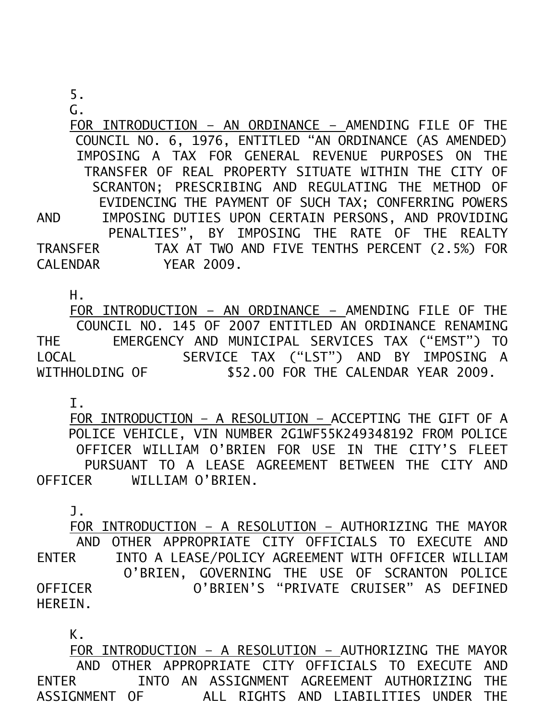G.

 FOR INTRODUCTION – AN ORDINANCE – AMENDING FILE OF THE COUNCIL NO. 6, 1976, ENTITLED "AN ORDINANCE (AS AMENDED) IMPOSING A TAX FOR GENERAL REVENUE PURPOSES ON THE TRANSFER OF REAL PROPERTY SITUATE WITHIN THE CITY OF SCRANTON; PRESCRIBING AND REGULATING THE METHOD OF EVIDENCING THE PAYMENT OF SUCH TAX; CONFERRING POWERS AND IMPOSING DUTIES UPON CERTAIN PERSONS, AND PROVIDING PENALTIES", BY IMPOSING THE RATE OF THE REALTY TRANSFER TAX AT TWO AND FIVE TENTHS PERCENT (2.5%) FOR CALENDAR YEAR 2009.

H.

 FOR INTRODUCTION – AN ORDINANCE – AMENDING FILE OF THE COUNCIL NO. 145 OF 2007 ENTITLED AN ORDINANCE RENAMING THE EMERGENCY AND MUNICIPAL SERVICES TAX ("EMST") TO LOCAL SERVICE TAX ("LST") AND BY IMPOSING A WITHHOLDING OF \$52.00 FOR THE CALENDAR YEAR 2009.

I.

 FOR INTRODUCTION – A RESOLUTION – ACCEPTING THE GIFT OF A POLICE VEHICLE, VIN NUMBER 2G1WF55K249348192 FROM POLICE OFFICER WILLIAM O'BRIEN FOR USE IN THE CITY'S FLEET PURSUANT TO A LEASE AGREEMENT BETWEEN THE CITY AND OFFICER WILLIAM O'BRIEN.

J.

 FOR INTRODUCTION – A RESOLUTION – AUTHORIZING THE MAYOR AND OTHER APPROPRIATE CITY OFFICIALS TO EXECUTE AND ENTER INTO A LEASE/POLICY AGREEMENT WITH OFFICER WILLIAM O'BRIEN, GOVERNING THE USE OF SCRANTON POLICE OFFICER O'BRIEN'S "PRIVATE CRUISER" AS DEFINED HEREIN.

K.

 FOR INTRODUCTION – A RESOLUTION – AUTHORIZING THE MAYOR AND OTHER APPROPRIATE CITY OFFICIALS TO EXECUTE AND ENTER INTO AN ASSIGNMENT AGREEMENT AUTHORIZING THE ASSIGNMENT OF ALL RIGHTS AND LIABILITIES UNDER THE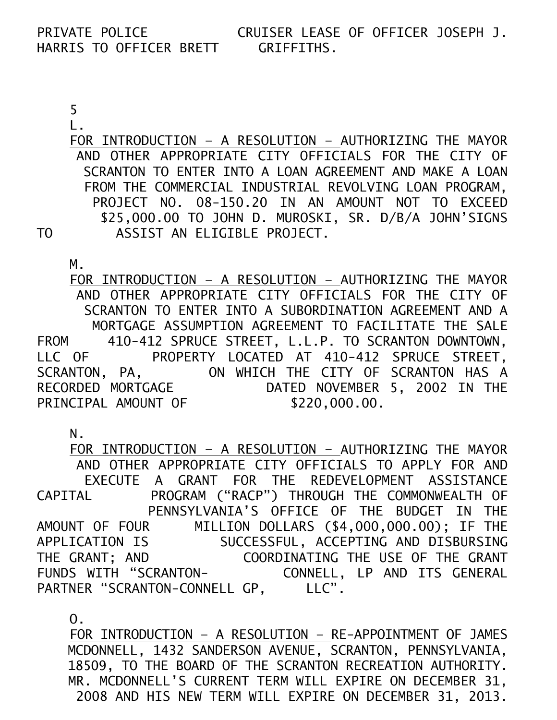## PRIVATE POLICE CRUISER LEASE OF OFFICER JOSEPH J. HARRIS TO OFFICER BRETT GRIFFITHS.

 5 L.

 FOR INTRODUCTION – A RESOLUTION – AUTHORIZING THE MAYOR AND OTHER APPROPRIATE CITY OFFICIALS FOR THE CITY OF SCRANTON TO ENTER INTO A LOAN AGREEMENT AND MAKE A LOAN FROM THE COMMERCIAL INDUSTRIAL REVOLVING LOAN PROGRAM, PROJECT NO. 08-150.20 IN AN AMOUNT NOT TO EXCEED \$25,000.00 TO JOHN D. MUROSKI, SR. D/B/A JOHN'SIGNS TO ASSIST AN ELIGIBLE PROJECT.

 M. FOR INTRODUCTION – A RESOLUTION – AUTHORIZING THE MAYOR AND OTHER APPROPRIATE CITY OFFICIALS FOR THE CITY OF SCRANTON TO ENTER INTO A SUBORDINATION AGREEMENT AND A MORTGAGE ASSUMPTION AGREEMENT TO FACILITATE THE SALE FROM 410-412 SPRUCE STREET, L.L.P. TO SCRANTON DOWNTOWN, LLC OF PROPERTY LOCATED AT 410-412 SPRUCE STREET, SCRANTON, PA, ON WHICH THE CITY OF SCRANTON HAS A RECORDED MORTGAGE DATED NOVEMBER 5, 2002 IN THE PRINCIPAL AMOUNT OF \$220,000.00.

N.

 FOR INTRODUCTION – A RESOLUTION – AUTHORIZING THE MAYOR AND OTHER APPROPRIATE CITY OFFICIALS TO APPLY FOR AND EXECUTE A GRANT FOR THE REDEVELOPMENT ASSISTANCE CAPITAL PROGRAM ("RACP") THROUGH THE COMMONWEALTH OF PENNSYLVANIA'S OFFICE OF THE BUDGET IN THE AMOUNT OF FOUR MILLION DOLLARS (\$4,000,000.00); IF THE APPLICATION IS SUCCESSFUL, ACCEPTING AND DISBURSING THE GRANT; AND COORDINATING THE USE OF THE GRANT FUNDS WITH "SCRANTON- CONNELL, LP AND ITS GENERAL PARTNER "SCRANTON-CONNELL GP, LLC".

O.

 FOR INTRODUCTION – A RESOLUTION – RE-APPOINTMENT OF JAMES MCDONNELL, 1432 SANDERSON AVENUE, SCRANTON, PENNSYLVANIA, 18509, TO THE BOARD OF THE SCRANTON RECREATION AUTHORITY. MR. MCDONNELL'S CURRENT TERM WILL EXPIRE ON DECEMBER 31, 2008 AND HIS NEW TERM WILL EXPIRE ON DECEMBER 31, 2013.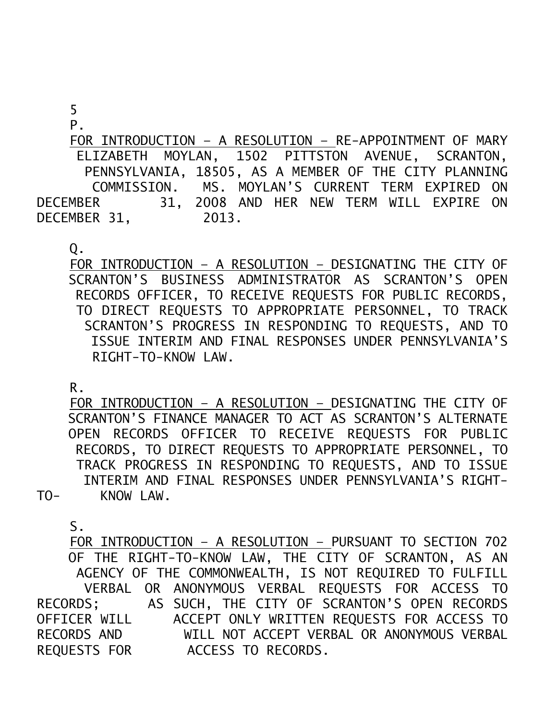5

P.

 FOR INTRODUCTION – A RESOLUTION – RE-APPOINTMENT OF MARY ELIZABETH MOYLAN, 1502 PITTSTON AVENUE, SCRANTON, PENNSYLVANIA, 18505, AS A MEMBER OF THE CITY PLANNING COMMISSION. MS. MOYLAN'S CURRENT TERM EXPIRED ON DECEMBER 31, 2008 AND HER NEW TERM WILL EXPIRE ON DECEMBER 31, 2013.

Q.

 FOR INTRODUCTION – A RESOLUTION – DESIGNATING THE CITY OF SCRANTON'S BUSINESS ADMINISTRATOR AS SCRANTON'S OPEN RECORDS OFFICER, TO RECEIVE REQUESTS FOR PUBLIC RECORDS, TO DIRECT REQUESTS TO APPROPRIATE PERSONNEL, TO TRACK SCRANTON'S PROGRESS IN RESPONDING TO REQUESTS, AND TO ISSUE INTERIM AND FINAL RESPONSES UNDER PENNSYLVANIA'S RIGHT-TO-KNOW LAW.

R.

 FOR INTRODUCTION – A RESOLUTION – DESIGNATING THE CITY OF SCRANTON'S FINANCE MANAGER TO ACT AS SCRANTON'S ALTERNATE OPEN RECORDS OFFICER TO RECEIVE REQUESTS FOR PUBLIC RECORDS, TO DIRECT REQUESTS TO APPROPRIATE PERSONNEL, TO TRACK PROGRESS IN RESPONDING TO REQUESTS, AND TO ISSUE INTERIM AND FINAL RESPONSES UNDER PENNSYLVANIA'S RIGHT-TO- KNOW LAW.

S.

 FOR INTRODUCTION – A RESOLUTION – PURSUANT TO SECTION 702 OF THE RIGHT-TO-KNOW LAW, THE CITY OF SCRANTON, AS AN AGENCY OF THE COMMONWEALTH, IS NOT REQUIRED TO FULFILL VERBAL OR ANONYMOUS VERBAL REQUESTS FOR ACCESS TO RECORDS; AS SUCH, THE CITY OF SCRANTON'S OPEN RECORDS OFFICER WILL ACCEPT ONLY WRITTEN REQUESTS FOR ACCESS TO RECORDS AND WILL NOT ACCEPT VERBAL OR ANONYMOUS VERBAL REQUESTS FOR ACCESS TO RECORDS.